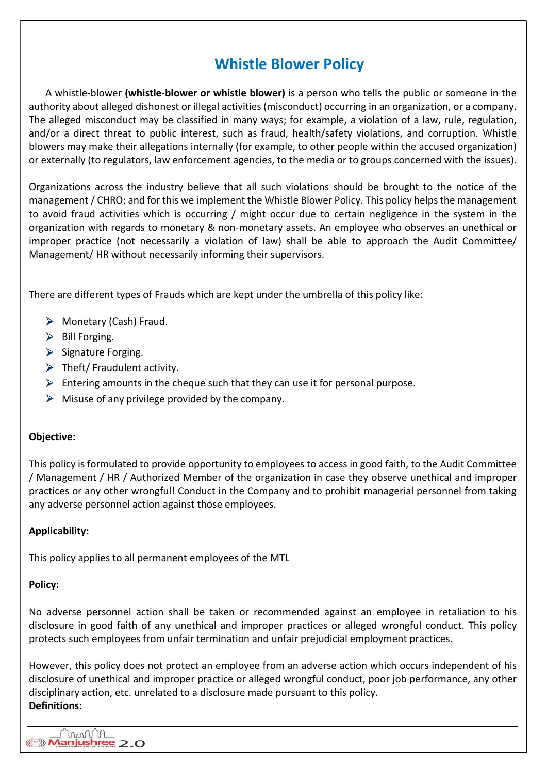# Whistle Blower Policy

A whistle-blower (whistle-blower or whistle blower) is a person who tells the public or someone in the authority about alleged dishonest or illegal activities (misconduct) occurring in an organization, or a company. The alleged misconduct may be classified in many ways; for example, a violation of a law, rule, regulation, and/or a direct threat to public interest, such as fraud, health/safety violations, and corruption. Whistle blowers may make their allegations internally (for example, to other people within the accused organization) or externally (to regulators, law enforcement agencies, to the media or to groups concerned with the issues).

Organizations across the industry believe that all such violations should be brought to the notice of the management / CHRO; and for this we implement the Whistle Blower Policy. This policy helps the management to avoid fraud activities which is occurring / might occur due to certain negligence in the system in the organization with regards to monetary & non-monetary assets. An employee who observes an unethical or improper practice (not necessarily a violation of law) shall be able to approach the Audit Committee/ Management/ HR without necessarily informing their supervisors.

There are different types of Frauds which are kept under the umbrella of this policy like:

- $\triangleright$  Monetary (Cash) Fraud.
- $\triangleright$  Bill Forging.
- $\triangleright$  Signature Forging.
- $\triangleright$  Theft/ Fraudulent activity.
- $\triangleright$  Entering amounts in the cheque such that they can use it for personal purpose.
- $\triangleright$  Misuse of any privilege provided by the company.

### Objective:

This policy is formulated to provide opportunity to employees to access in good faith, to the Audit Committee / Management / HR / Authorized Member of the organization in case they observe unethical and improper practices or any other wrongful! Conduct in the Company and to prohibit managerial personnel from taking any adverse personnel action against those employees.

## Applicability:

This policy applies to all permanent employees of the MTL

### Policy:

No adverse personnel action shall be taken or recommended against an employee in retaliation to his disclosure in good faith of any unethical and improper practices or alleged wrongful conduct. This policy protects such employees from unfair termination and unfair prejudicial employment practices.

However, this policy does not protect an employee from an adverse action which occurs independent of his disclosure of unethical and improper practice or alleged wrongful conduct, poor job performance, any other disciplinary action, etc. unrelated to a disclosure made pursuant to this policy. Definitions:

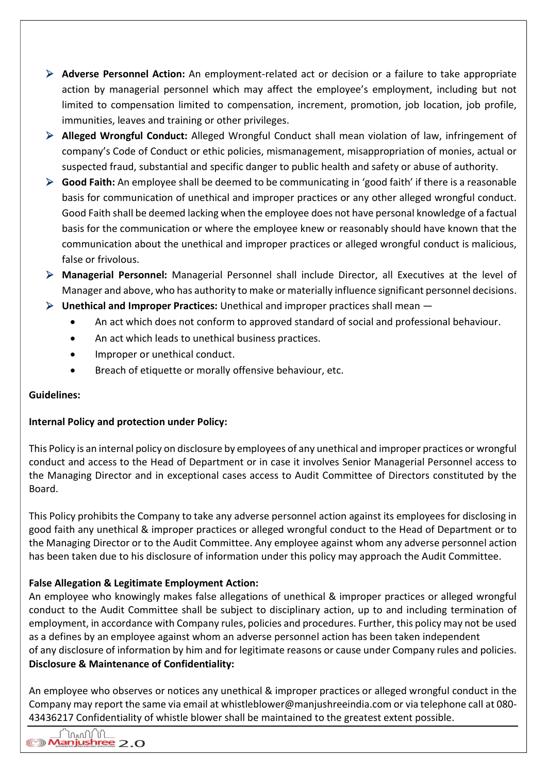- $\triangleright$  **Adverse Personnel Action:** An employment-related act or decision or a failure to take appropriate action by managerial personnel which may affect the employee's employment, including but not limited to compensation limited to compensation, increment, promotion, job location, job profile, immunities, leaves and training or other privileges.
- Alleged Wrongful Conduct: Alleged Wrongful Conduct shall mean violation of law, infringement of company's Code of Conduct or ethic policies, mismanagement, misappropriation of monies, actual or suspected fraud, substantial and specific danger to public health and safety or abuse of authority.
- $\triangleright$  Good Faith: An employee shall be deemed to be communicating in 'good faith' if there is a reasonable basis for communication of unethical and improper practices or any other alleged wrongful conduct. Good Faith shall be deemed lacking when the employee does not have personal knowledge of a factual basis for the communication or where the employee knew or reasonably should have known that the communication about the unethical and improper practices or alleged wrongful conduct is malicious, false or frivolous.
- Managerial Personnel: Managerial Personnel shall include Director, all Executives at the level of Manager and above, who has authority to make or materially influence significant personnel decisions.
- $\triangleright$  Unethical and Improper Practices: Unethical and improper practices shall mean  $-$ 
	- An act which does not conform to approved standard of social and professional behaviour.
	- An act which leads to unethical business practices.
	- Improper or unethical conduct.
	- Breach of etiquette or morally offensive behaviour, etc.

# Guidelines:

# Internal Policy and protection under Policy:

This Policy is an internal policy on disclosure by employees of any unethical and improper practices or wrongful conduct and access to the Head of Department or in case it involves Senior Managerial Personnel access to the Managing Director and in exceptional cases access to Audit Committee of Directors constituted by the Board.

This Policy prohibits the Company to take any adverse personnel action against its employees for disclosing in good faith any unethical & improper practices or alleged wrongful conduct to the Head of Department or to the Managing Director or to the Audit Committee. Any employee against whom any adverse personnel action has been taken due to his disclosure of information under this policy may approach the Audit Committee.

# False Allegation & Legitimate Employment Action:

An employee who knowingly makes false allegations of unethical & improper practices or alleged wrongful conduct to the Audit Committee shall be subject to disciplinary action, up to and including termination of employment, in accordance with Company rules, policies and procedures. Further, this policy may not be used as a defines by an employee against whom an adverse personnel action has been taken independent of any disclosure of information by him and for legitimate reasons or cause under Company rules and policies. Disclosure & Maintenance of Confidentiality:

An employee who observes or notices any unethical & improper practices or alleged wrongful conduct in the Company may report the same via email at whistleblower@manjushreeindia.com or via telephone call at 080- 43436217 Confidentiality of whistle blower shall be maintained to the greatest extent possible.

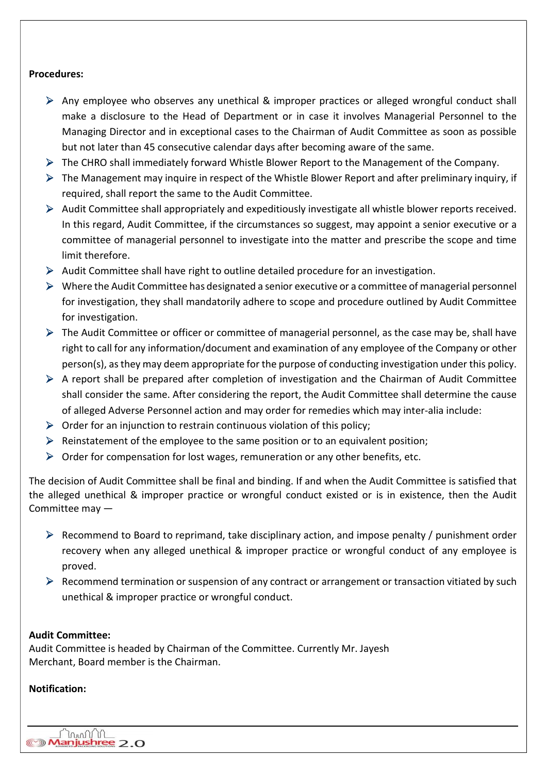### Procedures:

- Any employee who observes any unethical & improper practices or alleged wrongful conduct shall make a disclosure to the Head of Department or in case it involves Managerial Personnel to the Managing Director and in exceptional cases to the Chairman of Audit Committee as soon as possible but not later than 45 consecutive calendar days after becoming aware of the same.
- The CHRO shall immediately forward Whistle Blower Report to the Management of the Company.
- $\triangleright$  The Management may inquire in respect of the Whistle Blower Report and after preliminary inquiry, if required, shall report the same to the Audit Committee.
- Audit Committee shall appropriately and expeditiously investigate all whistle blower reports received. In this regard, Audit Committee, if the circumstances so suggest, may appoint a senior executive or a committee of managerial personnel to investigate into the matter and prescribe the scope and time limit therefore.
- $\triangleright$  Audit Committee shall have right to outline detailed procedure for an investigation.
- $\triangleright$  Where the Audit Committee has designated a senior executive or a committee of managerial personnel for investigation, they shall mandatorily adhere to scope and procedure outlined by Audit Committee for investigation.
- $\triangleright$  The Audit Committee or officer or committee of managerial personnel, as the case may be, shall have right to call for any information/document and examination of any employee of the Company or other person(s), as they may deem appropriate for the purpose of conducting investigation under this policy.
- $\triangleright$  A report shall be prepared after completion of investigation and the Chairman of Audit Committee shall consider the same. After considering the report, the Audit Committee shall determine the cause of alleged Adverse Personnel action and may order for remedies which may inter-alia include:
- $\triangleright$  Order for an injunction to restrain continuous violation of this policy;
- $\triangleright$  Reinstatement of the employee to the same position or to an equivalent position;
- $\triangleright$  Order for compensation for lost wages, remuneration or any other benefits, etc.

The decision of Audit Committee shall be final and binding. If and when the Audit Committee is satisfied that the alleged unethical & improper practice or wrongful conduct existed or is in existence, then the Audit Committee may —

- $\triangleright$  Recommend to Board to reprimand, take disciplinary action, and impose penalty / punishment order recovery when any alleged unethical & improper practice or wrongful conduct of any employee is proved.
- $\triangleright$  Recommend termination or suspension of any contract or arrangement or transaction vitiated by such unethical & improper practice or wrongful conduct.

### Audit Committee:

mmn'n Manjushree 2.0

Audit Committee is headed by Chairman of the Committee. Currently Mr. Jayesh Merchant, Board member is the Chairman.

## Notification: